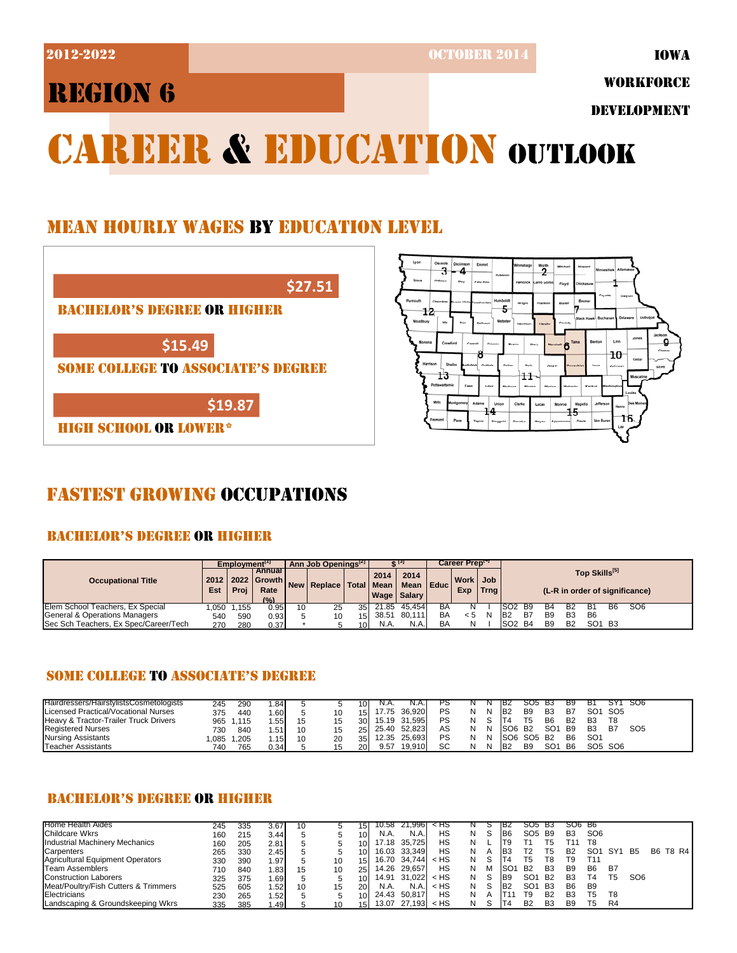2012-2022 OCTOBER 2014

 $\overline{3}$  - 4

13

 $\overset{\scriptscriptstyle{{\mathsf{an}}}}{2}$ 

5

Date<br>Poste

 $11$ 

 $15$ 

IOWA

# REGION 6

WORKFORCE

DEVELOPMENT

 $10<sub>1</sub>$ 

# CAREER & EDUCATION OUTLOOK

## MEAN HOURLY WAGES BY EDUCATION LEVEL

| <b>BACHELOR'S DEGREE OR HIGHER</b>        |  |
|-------------------------------------------|--|
|                                           |  |
| \$15.49                                   |  |
| <b>SOME COLLEGE TO ASSOCIATE'S DEGREE</b> |  |

## FASTEST GROWING OCCUPATIONS

## BACHELOR'S DEGREE OR HIGHER

|                                               |             | Employment <sup>11</sup> |                                               |         | Ann Job Openings <sup>[2]</sup>      |     |          |                       |    | Career Preptor  |             |                                 |                |                                                 |                                |    |                 |  |  |
|-----------------------------------------------|-------------|--------------------------|-----------------------------------------------|---------|--------------------------------------|-----|----------|-----------------------|----|-----------------|-------------|---------------------------------|----------------|-------------------------------------------------|--------------------------------|----|-----------------|--|--|
| <b>Occupational Title</b>                     | 2012<br>Est | Proj                     | <b>Annual</b><br>2022 Growth<br>Rate<br>(9/6) | l New I | Replace   Total   Mean   Mean   Educ |     | 2014     | 2014<br>Wage   Salary |    | Work Job<br>Exp | <b>Trng</b> |                                 |                | Top Skills[5]<br>(L-R in order of significance) |                                |    |                 |  |  |
| Elem School Teachers, Ex Special              | .050        | .155                     | 0.95                                          | 10      | 25                                   | 351 |          | 21.85 45.454          | BA |                 |             | ISO2<br>- B9                    | В4             | B2                                              |                                | Bб | SO <sub>6</sub> |  |  |
| General & Operations Managers                 | 540         | 590                      | 0.93                                          |         | 10                                   |     | 15 38.51 | 80.111                | BA | < 5             | N           | IB <sub>2</sub><br>B7           | B <sub>9</sub> | B <sub>3</sub>                                  | B <sub>6</sub>                 |    |                 |  |  |
| <b>ISec Sch Teachers. Ex Spec/Career/Tech</b> | 270         | 280                      | 0.37                                          |         |                                      | 10I | N.A.     | N.A.                  | BA | N               |             | ISO <sub>2</sub> B <sub>4</sub> | B <sub>9</sub> | <b>B2</b>                                       | SO <sub>1</sub> B <sub>3</sub> |    |                 |  |  |

## SOME COLLEGE TO ASSOCIATE'S DEGREE

| <b>IHairdressers/HairstvlistsCosmetologists</b> | 245  | 290   | . .84            |    |    | 101             |       |        |    |   | IB2                 | SO5                             | - B3            | B9             | В1              |                                 | SO6             |
|-------------------------------------------------|------|-------|------------------|----|----|-----------------|-------|--------|----|---|---------------------|---------------------------------|-----------------|----------------|-----------------|---------------------------------|-----------------|
| Licensed Practical/Vocational Nurses            | 375  | 440   | .60 <sup>1</sup> |    |    | 151             | 7.75  | 36.920 | PS | N | - IB2               | B <sub>9</sub>                  | B <sub>3</sub>  | B7             | SO <sub>1</sub> | SO <sub>5</sub>                 |                 |
| Heavy & Tractor-Trailer Truck Drivers           | 965  | 1.115 | . .55            |    |    | 30 <sup>1</sup> | 15.19 | 31.595 | PS |   |                     |                                 | B <sub>6</sub>  | <b>B2</b>      | B <sub>3</sub>  | T8                              |                 |
| <b>Registered Nurses</b>                        | 730  | 840   | . .51            | 10 |    | 25I             | 25.40 | 52.823 | AS |   | ISO6 B <sub>2</sub> |                                 | SO <sub>1</sub> | <b>B</b> 9     | B <sub>3</sub>  | B7                              | SO <sub>5</sub> |
| Nursing Assistants                              | ,085 | .205  | 15 <sub>1</sub>  | 10 | 20 | 35 <sup>1</sup> | 12.35 | 25.693 | PS |   |                     | SO <sub>6</sub> SO <sub>5</sub> | <b>B2</b>       | B <sub>6</sub> | SO <sub>1</sub> |                                 |                 |
| Teacher Assistants                              | 740  | 765   | 0.34             |    |    | <b>20</b>       | 9.57  | 19.910 | SC | N | IB <sub>2</sub>     | B <sub>9</sub>                  | SO <sub>1</sub> | B <sub>6</sub> |                 | SO <sub>5</sub> SO <sub>6</sub> |                 |

## BACHELOR'S DEGREE OR HIGHER

| <b>Home Health Aides</b>             | 245 | 335 | 3.67    | 10 |    | 51  | 10.58 | 21.9961      | < HS   |   |   | IB2            | SO5.            | - B3           | SO <sub>6</sub> B <sub>6</sub> |                 |     |                 |          |
|--------------------------------------|-----|-----|---------|----|----|-----|-------|--------------|--------|---|---|----------------|-----------------|----------------|--------------------------------|-----------------|-----|-----------------|----------|
|                                      |     |     |         |    |    |     |       |              |        |   |   |                |                 |                |                                |                 |     |                 |          |
| <b>Childcare Wkrs</b>                | 160 | 215 | 3.44    |    |    |     | N.A.  | N.A          | НS     | N |   | B <sub>6</sub> | SO5             | <b>B</b> 9     | B <sub>3</sub>                 | SO <sub>6</sub> |     |                 |          |
| Industrial Machinery Mechanics       | 160 | 205 | 2.81    |    |    |     | 17.18 | 35.725       | HS     | N |   | Т9             |                 | Г5             | τ11                            | T8              |     |                 |          |
| Carpenters                           | 265 | 330 | 2.45    |    |    |     | 16.03 | 33.349       | НS     | N |   | BЗ             | Т2              | Г5             | B <sub>2</sub>                 | SO <sub>1</sub> | SY' | <b>B5</b>       | B6 T8 R4 |
| Agricultural Equipment Operators     | 330 | 390 | 1.97    |    | 10 |     |       | 16.70 34.744 | $<$ HS | N |   |                | Τ5              | Г8             | Т9                             | T11             |     |                 |          |
| Team Assemblers                      | 710 | 840 | .83     | 15 | 10 |     | 14.26 | 29.657       | HS     | N | м | ISO            | <b>B2</b>       | B3             | B <sub>9</sub>                 | B <sub>6</sub>  | B7  |                 |          |
| <b>Construction Laborers</b>         | 325 | 375 | . 69    |    |    |     | 14.91 | 31.022       | $<$ HS | N |   | B <sub>9</sub> | SO1             | <b>B2</b>      | B <sub>3</sub>                 | T4              | Т5  | SO <sub>6</sub> |          |
| Meat/Poultry/Fish Cutters & Trimmers | 525 | 605 | . 52    | 10 | 15 |     | N.A.  | N.A.         | $<$ HS | N |   | B <sub>2</sub> | SO <sub>1</sub> | <b>B3</b>      | B <sub>6</sub>                 | B <sub>9</sub>  |     |                 |          |
| Electricians                         | 230 | 265 | 52      |    |    |     | 24.43 | 50.817       | НS     | N | А |                | T9              | B <sub>2</sub> | <b>B3</b>                      | т5              | T8  |                 |          |
| Landscaping & Groundskeeping Wkrs    | 335 | 385 | ا 49. ا |    | 10 | 151 | 13.07 | 27,193       | $<$ HS | N |   |                | <b>B2</b>       | B <sub>3</sub> | B <sub>9</sub>                 | T5              | R4  |                 |          |